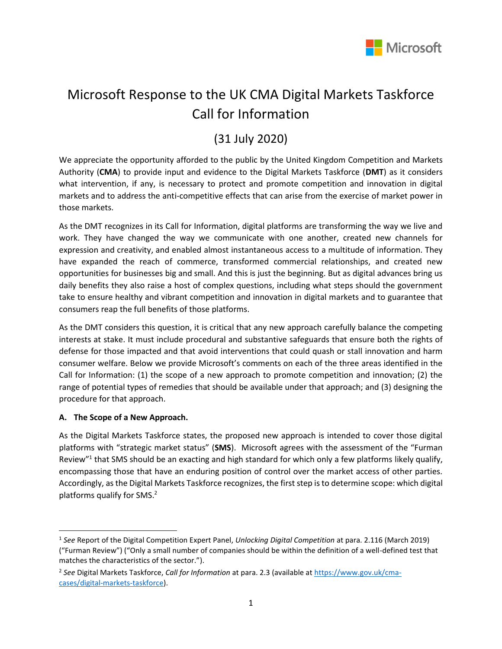

# Microsoft Response to the UK CMA Digital Markets Taskforce Call for Information

## (31 July 2020)

We appreciate the opportunity afforded to the public by the United Kingdom Competition and Markets Authority (**CMA**) to provide input and evidence to the Digital Markets Taskforce (**DMT**) as it considers what intervention, if any, is necessary to protect and promote competition and innovation in digital markets and to address the anti-competitive effects that can arise from the exercise of market power in those markets.

As the DMT recognizes in its Call for Information, digital platforms are transforming the way we live and work. They have changed the way we communicate with one another, created new channels for expression and creativity, and enabled almost instantaneous access to a multitude of information. They have expanded the reach of commerce, transformed commercial relationships, and created new opportunities for businesses big and small. And this is just the beginning. But as digital advances bring us daily benefits they also raise a host of complex questions, including what steps should the government take to ensure healthy and vibrant competition and innovation in digital markets and to guarantee that consumers reap the full benefits of those platforms.

As the DMT considers this question, it is critical that any new approach carefully balance the competing interests at stake. It must include procedural and substantive safeguards that ensure both the rights of defense for those impacted and that avoid interventions that could quash or stall innovation and harm consumer welfare. Below we provide Microsoft's comments on each of the three areas identified in the Call for Information: (1) the scope of a new approach to promote competition and innovation; (2) the range of potential types of remedies that should be available under that approach; and (3) designing the procedure for that approach.

### **A. The Scope of a New Approach.**

As the Digital Markets Taskforce states, the proposed new approach is intended to cover those digital platforms with "strategic market status" (**SMS**). Microsoft agrees with the assessment of the "Furman Review"<sup>1</sup> that SMS should be an exacting and high standard for which only a few platforms likely qualify, encompassing those that have an enduring position of control over the market access of other parties. Accordingly, as the Digital Markets Taskforce recognizes, the first step is to determine scope: which digital platforms qualify for SMS. $2$ 

<sup>1</sup> *See* Report of the Digital Competition Expert Panel, *Unlocking Digital Competition* at para. 2.116 (March 2019) ("Furman Review") ("Only a small number of companies should be within the definition of a well-defined test that matches the characteristics of the sector.").

<sup>2</sup> *See* Digital Markets Taskforce, *Call for Information* at para. 2.3 (available a[t https://www.gov.uk/cma](https://www.gov.uk/cma-cases/digital-markets-taskforce)[cases/digital-markets-taskforce\)](https://www.gov.uk/cma-cases/digital-markets-taskforce).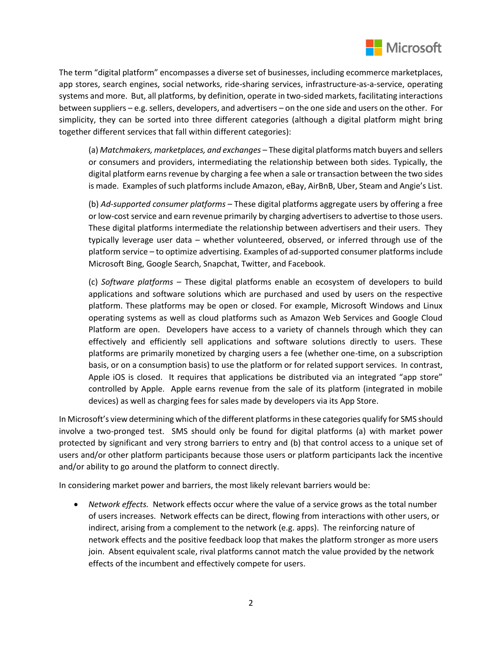

The term "digital platform" encompasses a diverse set of businesses, including ecommerce marketplaces, app stores, search engines, social networks, ride-sharing services, infrastructure-as-a-service, operating systems and more. But, all platforms, by definition, operate in two-sided markets, facilitating interactions between suppliers – e.g. sellers, developers, and advertisers – on the one side and users on the other. For simplicity, they can be sorted into three different categories (although a digital platform might bring together different services that fall within different categories):

(a) *Matchmakers, marketplaces, and exchanges* – These digital platforms match buyers and sellers or consumers and providers, intermediating the relationship between both sides. Typically, the digital platform earns revenue by charging a fee when a sale or transaction between the two sides is made. Examples of such platforms include Amazon, eBay, AirBnB, Uber, Steam and Angie's List.

(b) *Ad-supported consumer platforms* – These digital platforms aggregate users by offering a free or low-cost service and earn revenue primarily by charging advertisers to advertise to those users. These digital platforms intermediate the relationship between advertisers and their users. They typically leverage user data – whether volunteered, observed, or inferred through use of the platform service – to optimize advertising. Examples of ad-supported consumer platforms include Microsoft Bing, Google Search, Snapchat, Twitter, and Facebook.

(c) *Software platforms* – These digital platforms enable an ecosystem of developers to build applications and software solutions which are purchased and used by users on the respective platform. These platforms may be open or closed. For example, Microsoft Windows and Linux operating systems as well as cloud platforms such as Amazon Web Services and Google Cloud Platform are open. Developers have access to a variety of channels through which they can effectively and efficiently sell applications and software solutions directly to users. These platforms are primarily monetized by charging users a fee (whether one-time, on a subscription basis, or on a consumption basis) to use the platform or for related support services. In contrast, Apple iOS is closed. It requires that applications be distributed via an integrated "app store" controlled by Apple. Apple earns revenue from the sale of its platform (integrated in mobile devices) as well as charging fees for sales made by developers via its App Store.

In Microsoft's view determining which of the different platforms in these categories qualify for SMS should involve a two-pronged test. SMS should only be found for digital platforms (a) with market power protected by significant and very strong barriers to entry and (b) that control access to a unique set of users and/or other platform participants because those users or platform participants lack the incentive and/or ability to go around the platform to connect directly.

In considering market power and barriers, the most likely relevant barriers would be:

• *Network effects.* Network effects occur where the value of a service grows as the total number of users increases. Network effects can be direct, flowing from interactions with other users, or indirect, arising from a complement to the network (e.g. apps). The reinforcing nature of network effects and the positive feedback loop that makes the platform stronger as more users join. Absent equivalent scale, rival platforms cannot match the value provided by the network effects of the incumbent and effectively compete for users.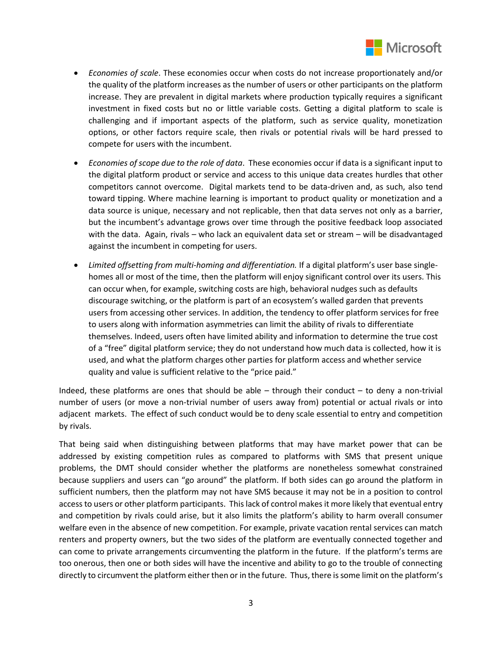

- *Economies of scale*. These economies occur when costs do not increase proportionately and/or the quality of the platform increases as the number of users or other participants on the platform increase. They are prevalent in digital markets where production typically requires a significant investment in fixed costs but no or little variable costs. Getting a digital platform to scale is challenging and if important aspects of the platform, such as service quality, monetization options, or other factors require scale, then rivals or potential rivals will be hard pressed to compete for users with the incumbent.
- *Economies of scope due to the role of data*. These economies occur if data is a significant input to the digital platform product or service and access to this unique data creates hurdles that other competitors cannot overcome. Digital markets tend to be data-driven and, as such, also tend toward tipping. Where machine learning is important to product quality or monetization and a data source is unique, necessary and not replicable, then that data serves not only as a barrier, but the incumbent's advantage grows over time through the positive feedback loop associated with the data. Again, rivals – who lack an equivalent data set or stream – will be disadvantaged against the incumbent in competing for users.
- *Limited offsetting from multi-homing and differentiation.* If a digital platform's user base singlehomes all or most of the time, then the platform will enjoy significant control over its users. This can occur when, for example, switching costs are high, behavioral nudges such as defaults discourage switching, or the platform is part of an ecosystem's walled garden that prevents users from accessing other services. In addition, the tendency to offer platform services for free to users along with information asymmetries can limit the ability of rivals to differentiate themselves. Indeed, users often have limited ability and information to determine the true cost of a "free" digital platform service; they do not understand how much data is collected, how it is used, and what the platform charges other parties for platform access and whether service quality and value is sufficient relative to the "price paid."

Indeed, these platforms are ones that should be able – through their conduct – to deny a non-trivial number of users (or move a non-trivial number of users away from) potential or actual rivals or into adjacent markets. The effect of such conduct would be to deny scale essential to entry and competition by rivals.

That being said when distinguishing between platforms that may have market power that can be addressed by existing competition rules as compared to platforms with SMS that present unique problems, the DMT should consider whether the platforms are nonetheless somewhat constrained because suppliers and users can "go around" the platform. If both sides can go around the platform in sufficient numbers, then the platform may not have SMS because it may not be in a position to control access to users or other platform participants. This lack of control makes it more likely that eventual entry and competition by rivals could arise, but it also limits the platform's ability to harm overall consumer welfare even in the absence of new competition. For example, private vacation rental services can match renters and property owners, but the two sides of the platform are eventually connected together and can come to private arrangements circumventing the platform in the future. If the platform's terms are too onerous, then one or both sides will have the incentive and ability to go to the trouble of connecting directly to circumvent the platform either then or in the future. Thus, there is some limit on the platform's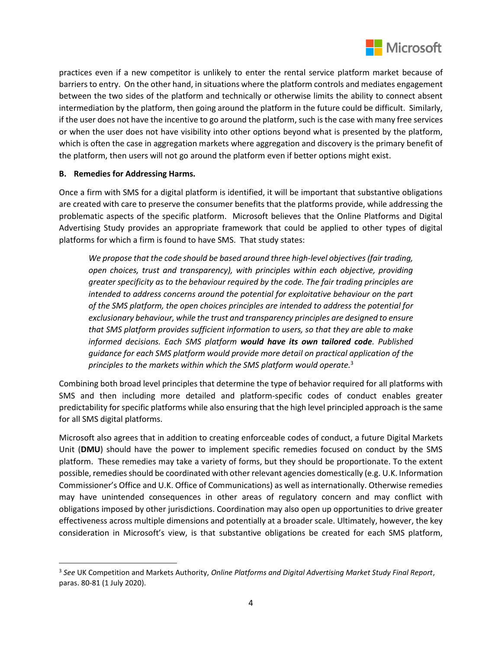

practices even if a new competitor is unlikely to enter the rental service platform market because of barriers to entry. On the other hand, in situations where the platform controls and mediates engagement between the two sides of the platform and technically or otherwise limits the ability to connect absent intermediation by the platform, then going around the platform in the future could be difficult. Similarly, if the user does not have the incentive to go around the platform, such is the case with many free services or when the user does not have visibility into other options beyond what is presented by the platform, which is often the case in aggregation markets where aggregation and discovery is the primary benefit of the platform, then users will not go around the platform even if better options might exist.

### **B. Remedies for Addressing Harms.**

Once a firm with SMS for a digital platform is identified, it will be important that substantive obligations are created with care to preserve the consumer benefits that the platforms provide, while addressing the problematic aspects of the specific platform. Microsoft believes that the Online Platforms and Digital Advertising Study provides an appropriate framework that could be applied to other types of digital platforms for which a firm is found to have SMS. That study states:

*We propose that the code should be based around three high-level objectives (fair trading, open choices, trust and transparency), with principles within each objective, providing greater specificity as to the behaviour required by the code. The fair trading principles are intended to address concerns around the potential for exploitative behaviour on the part of the SMS platform, the open choices principles are intended to address the potential for exclusionary behaviour, while the trust and transparency principles are designed to ensure that SMS platform provides sufficient information to users, so that they are able to make informed decisions. Each SMS platform would have its own tailored code. Published guidance for each SMS platform would provide more detail on practical application of the principles to the markets within which the SMS platform would operate.*<sup>3</sup>

Combining both broad level principles that determine the type of behavior required for all platforms with SMS and then including more detailed and platform-specific codes of conduct enables greater predictability for specific platforms while also ensuring that the high level principled approach is the same for all SMS digital platforms.

Microsoft also agrees that in addition to creating enforceable codes of conduct, a future Digital Markets Unit (**DMU**) should have the power to implement specific remedies focused on conduct by the SMS platform. These remedies may take a variety of forms, but they should be proportionate. To the extent possible, remedies should be coordinated with other relevant agencies domestically (e.g. U.K. Information Commissioner's Office and U.K. Office of Communications) as well as internationally. Otherwise remedies may have unintended consequences in other areas of regulatory concern and may conflict with obligations imposed by other jurisdictions. Coordination may also open up opportunities to drive greater effectiveness across multiple dimensions and potentially at a broader scale. Ultimately, however, the key consideration in Microsoft's view, is that substantive obligations be created for each SMS platform,

<sup>3</sup> *See* UK Competition and Markets Authority, *Online Platforms and Digital Advertising Market Study Final Report*, paras. 80-81 (1 July 2020).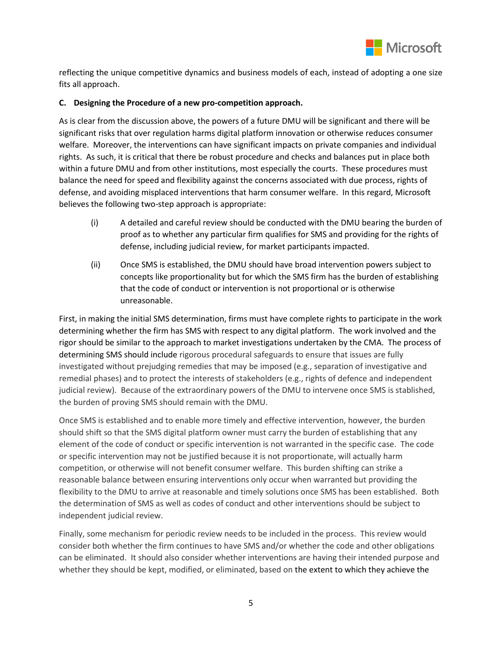

reflecting the unique competitive dynamics and business models of each, instead of adopting a one size fits all approach.

#### **C. Designing the Procedure of a new pro-competition approach.**

As is clear from the discussion above, the powers of a future DMU will be significant and there will be significant risks that over regulation harms digital platform innovation or otherwise reduces consumer welfare. Moreover, the interventions can have significant impacts on private companies and individual rights. As such, it is critical that there be robust procedure and checks and balances put in place both within a future DMU and from other institutions, most especially the courts. These procedures must balance the need for speed and flexibility against the concerns associated with due process, rights of defense, and avoiding misplaced interventions that harm consumer welfare. In this regard, Microsoft believes the following two-step approach is appropriate:

- (i) A detailed and careful review should be conducted with the DMU bearing the burden of proof as to whether any particular firm qualifies for SMS and providing for the rights of defense, including judicial review, for market participants impacted.
- (ii) Once SMS is established, the DMU should have broad intervention powers subject to concepts like proportionality but for which the SMS firm has the burden of establishing that the code of conduct or intervention is not proportional or is otherwise unreasonable.

First, in making the initial SMS determination, firms must have complete rights to participate in the work determining whether the firm has SMS with respect to any digital platform. The work involved and the rigor should be similar to the approach to market investigations undertaken by the CMA. The process of determining SMS should include rigorous procedural safeguards to ensure that issues are fully investigated without prejudging remedies that may be imposed (e.g., separation of investigative and remedial phases) and to protect the interests of stakeholders (e.g., rights of defence and independent judicial review). Because of the extraordinary powers of the DMU to intervene once SMS is stablished, the burden of proving SMS should remain with the DMU.

Once SMS is established and to enable more timely and effective intervention, however, the burden should shift so that the SMS digital platform owner must carry the burden of establishing that any element of the code of conduct or specific intervention is not warranted in the specific case. The code or specific intervention may not be justified because it is not proportionate, will actually harm competition, or otherwise will not benefit consumer welfare. This burden shifting can strike a reasonable balance between ensuring interventions only occur when warranted but providing the flexibility to the DMU to arrive at reasonable and timely solutions once SMS has been established. Both the determination of SMS as well as codes of conduct and other interventions should be subject to independent judicial review.

Finally, some mechanism for periodic review needs to be included in the process. This review would consider both whether the firm continues to have SMS and/or whether the code and other obligations can be eliminated. It should also consider whether interventions are having their intended purpose and whether they should be kept, modified, or eliminated, based on the extent to which they achieve the